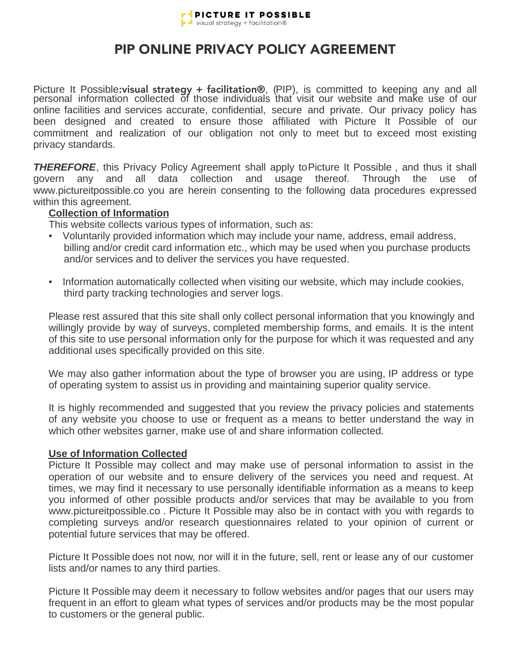

# PIP ONLINE PRIVACY POLICY AGREEMENT

Picture It Possible: visual strategy + facilitation®, (PIP), is committed to keeping any and all personal information collected of those individuals that visit our website and make use of our online facilities and services accurate, confidential, secure and private. Our privacy policy has been designed and created to ensure those affiliated with Picture It Possible of our commitment and realization of our obligation not only to meet but to exceed most existing privacy standards.

*THEREFORE*, this Privacy Policy Agreement shall apply to Picture It Possible , and thus it shall govern any and all data collection and usage thereof. Through the use of www.pictureitpossible.co you are herein consenting to the following data procedures expressed within this agreement.

#### **Collection of Information**

This website collects various types of information, such as:

- Voluntarily provided information which may include your name, address, email address, billing and/or credit card information etc., which may be used when you purchase products and/or services and to deliver the services you have requested.
- Information automatically collected when visiting our website, which may include cookies, third party tracking technologies and server logs.

Please rest assured that this site shall only collect personal information that you knowingly and willingly provide by way of surveys, completed membership forms, and emails. It is the intent of this site to use personal information only for the purpose for which it was requested and any additional uses specifically provided on this site.

We may also gather information about the type of browser you are using, IP address or type of operating system to assist us in providing and maintaining superior quality service.

It is highly recommended and suggested that you review the privacy policies and statements of any website you choose to use or frequent as a means to better understand the way in which other websites garner, make use of and share information collected.

#### **Use of Information Collected**

Picture It Possible may collect and may make use of personal information to assist in the operation of our website and to ensure delivery of the services you need and request. At times, we may find it necessary to use personally identifiable information as a means to keep you informed of other possible products and/or services that may be available to you from www.pictureitpossible.co . Picture It Possible may also be in contact with you with regards to completing surveys and/or research questionnaires related to your opinion of current or potential future services that may be offered.

Picture It Possible does not now, nor will it in the future, sell, rent or lease any of our customer lists and/or names to any third parties.

Picture It Possible may deem it necessary to follow websites and/or pages that our users may frequent in an effort to gleam what types of services and/or products may be the most popular to customers or the general public.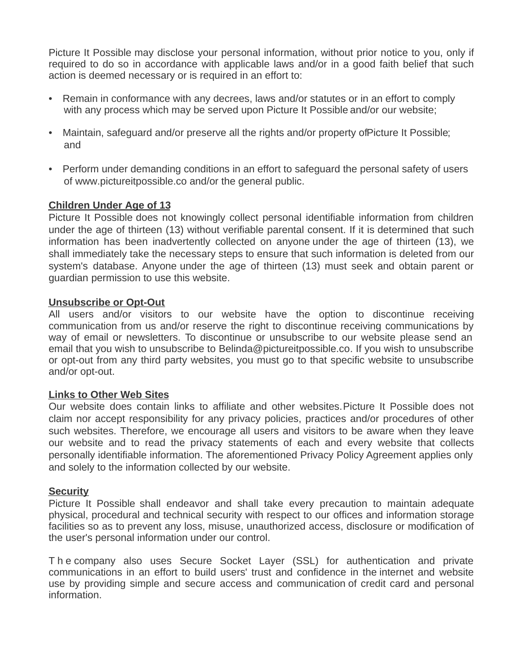Picture It Possible may disclose your personal information, without prior notice to you, only if required to do so in accordance with applicable laws and/or in a good faith belief that such action is deemed necessary or is required in an effort to:

- Remain in conformance with any decrees, laws and/or statutes or in an effort to comply with any process which may be served upon Picture It Possible and/or our website;
- Maintain, safeguard and/or preserve all the rights and/or property of Picture It Possible; and
- Perform under demanding conditions in an effort to safeguard the personal safety of users of www.pictureitpossible.co and/or the general public.

### **Children Under Age of 13**

Picture It Possible does not knowingly collect personal identifiable information from children under the age of thirteen (13) without verifiable parental consent. If it is determined that such information has been inadvertently collected on anyone under the age of thirteen (13), we shall immediately take the necessary steps to ensure that such information is deleted from our system's database. Anyone under the age of thirteen (13) must seek and obtain parent or guardian permission to use this website.

## **Unsubscribe or Opt-Out**

All users and/or visitors to our website have the option to discontinue receiving communication from us and/or reserve the right to discontinue receiving communications by way of email or newsletters. To discontinue or unsubscribe to our website please send an email that you wish to unsubscribe to Belinda@pictureitpossible.co. If you wish to unsubscribe or opt-out from any third party websites, you must go to that specific website to unsubscribe and/or opt-out.

### **Links to Other Web Sites**

Our website does contain links to affiliate and other websites. Picture It Possible does not claim nor accept responsibility for any privacy policies, practices and/or procedures of other such websites. Therefore, we encourage all users and visitors to be aware when they leave our website and to read the privacy statements of each and every website that collects personally identifiable information. The aforementioned Privacy Policy Agreement applies only and solely to the information collected by our website.

### **Security**

Picture It Possible shall endeavor and shall take every precaution to maintain adequate physical, procedural and technical security with respect to our offices and information storage facilities so as to prevent any loss, misuse, unauthorized access, disclosure or modification of the user's personal information under our control.

T h e company also uses Secure Socket Layer (SSL) for authentication and private communications in an effort to build users' trust and confidence in the internet and website use by providing simple and secure access and communication of credit card and personal information.